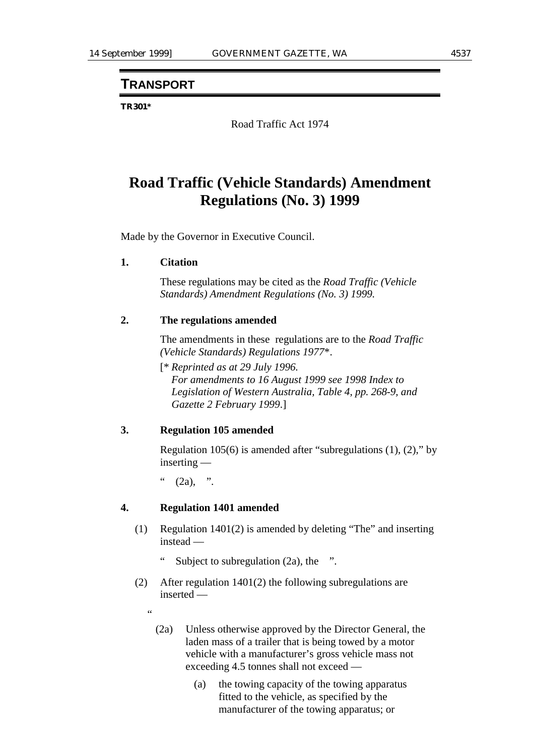# **TRANSPORT**

#### **TR301\***

Road Traffic Act 1974

# **Road Traffic (Vehicle Standards) Amendment Regulations (No. 3) 1999**

Made by the Governor in Executive Council.

#### **1. Citation**

These regulations may be cited as the *Road Traffic (Vehicle Standards) Amendment Regulations (No. 3) 1999.*

#### **2. The regulations amended**

The amendments in these regulations are to the *Road Traffic (Vehicle Standards) Regulations 1977*\*.

[\* *Reprinted as at 29 July 1996. For amendments to 16 August 1999 see 1998 Index to Legislation of Western Australia, Table 4, pp. 268-9, and Gazette 2 February 1999*.]

## **3. Regulation 105 amended**

Regulation 105(6) is amended after "subregulations (1), (2)," by inserting —

 $(2a)$ , ".

### **4. Regulation 1401 amended**

- (1) Regulation 1401(2) is amended by deleting "The" and inserting instead —
	- Subject to subregulation  $(2a)$ , the ".
- (2) After regulation 1401(2) the following subregulations are inserted —
	- "
		- (2a) Unless otherwise approved by the Director General, the laden mass of a trailer that is being towed by a motor vehicle with a manufacturer's gross vehicle mass not exceeding 4.5 tonnes shall not exceed —
			- (a) the towing capacity of the towing apparatus fitted to the vehicle, as specified by the manufacturer of the towing apparatus; or